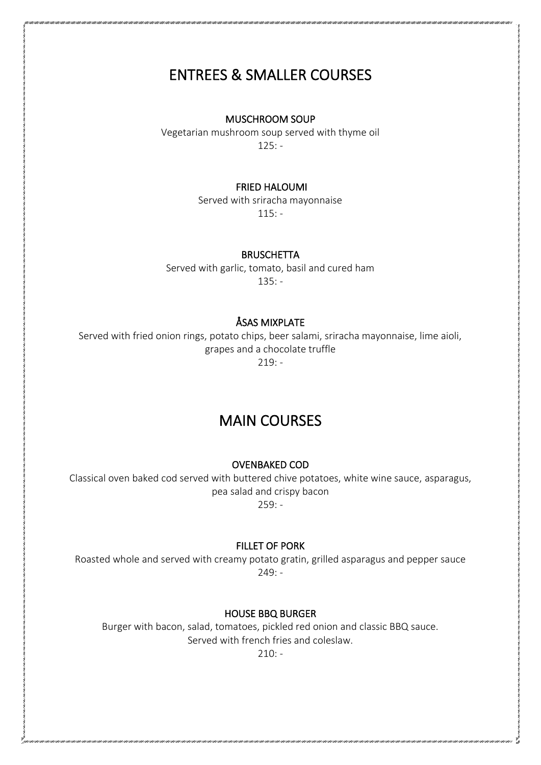# ENTREES & SMALLER COURSES

#### MUSCHROOM SOUP

Vegetarian mushroom soup served with thyme oil 125: -

## FRIED HALOUMI

Served with sriracha mayonnaise 115: -

## **BRUSCHETTA**

Served with garlic, tomato, basil and cured ham  $135: -$ 

# ÅSAS MIXPLATE

Served with fried onion rings, potato chips, beer salami, sriracha mayonnaise, lime aioli, grapes and a chocolate truffle  $219: -$ 

# MAIN COURSES

#### OVENBAKED COD

Classical oven baked cod served with buttered chive potatoes, white wine sauce, asparagus, pea salad and crispy bacon  $259: -$ 

#### FILLET OF PORK

Roasted whole and served with creamy potato gratin, grilled asparagus and pepper sauce  $249: -$ 

## HOUSE BBQ BURGER

Burger with bacon, salad, tomatoes, pickled red onion and classic BBQ sauce. Served with french fries and coleslaw.

 $210: -$